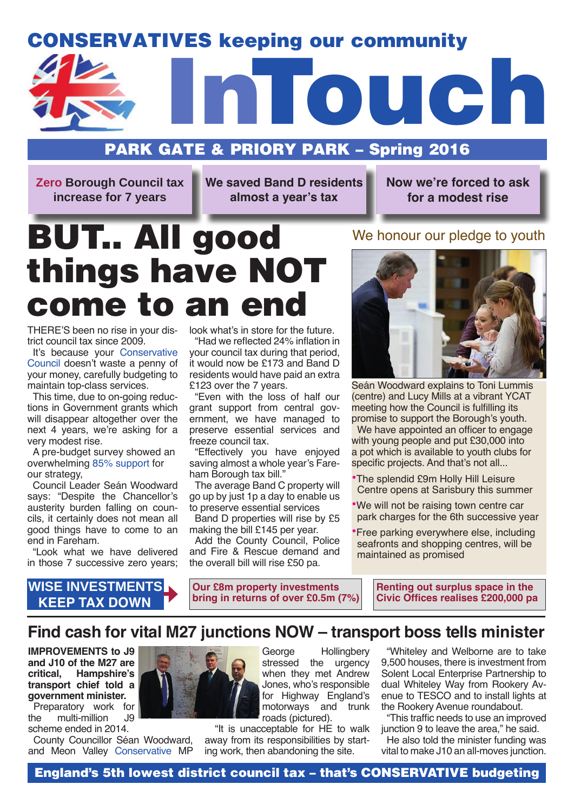# CONSERVATIVES keeping our community



# PARK GATE & PRIORY PARK – Spring 2016

**Zero Borough Council tax increase for 7 years**

**We saved Band D residents almost a year's tax**

**Now we're forced to ask for a modest rise**

# BUT.. All good things have NOT come to an end

THERE'S been no rise in your district council tax since 2009.

It's because your Conservative Council doesn't waste a penny of your money, carefully budgeting to maintain top-class services.

This time, due to on-going reductions in Government grants which will disappear altogether over the next 4 years, we're asking for a very modest rise.

A pre-budget survey showed an overwhelming 85% support for our strategy,

Council Leader Seán Woodward says: "Despite the Chancellor's austerity burden falling on councils, it certainly does not mean all good things have to come to an end in Fareham.

"Look what we have delivered in those 7 successive zero years;

**KEEP TAX DOWN**

# **WISE INVESTMENTS**

look what's in store for the future. "Had we reflected 24% inflation in your council tax during that period,

it would now be £173 and Band D residents would have paid an extra £123 over the 7 years.

"Even with the loss of half our grant support from central government, we have managed to preserve essential services and freeze council tax.

"Effectively you have enjoyed saving almost a whole year's Fareham Borough tax bill."

The average Band C property will go up by just 1p a day to enable us to preserve essential services

Band D properties will rise by £5 making the bill £145 per year.

Add the County Council, Police and Fire & Rescue demand and the overall bill will rise £50 pa.

**Our £8m property investments bring in returns of over £0.5m (7%)**

# We honour our pledge to youth



Seán Woodward explains to Toni Lummis (centre) and Lucy Mills at a vibrant YCAT meeting how the Council is fulfilling its promise to support the Borough's youth.

We have appointed an officer to engage with young people and put £30,000 into a pot which is available to youth clubs for specific projects. And that's not all...

•The splendid £9m Holly Hill Leisure Centre opens at Sarisbury this summer

•We will not be raising town centre car park charges for the 6th successive year

•Free parking everywhere else, including seafronts and shopping centres, will be maintained as promised

> **Renting out surplus space in the Civic Offices realises £200,000 pa**

# **Find cash for vital M27 junctions NOW – transport boss tells minister**

**IMPROVEMENTS to J9 and J10 of the M27 are critical, Hampshire's transport chief told a government minister.**

Preparatory work for<br>he multi-million J9 the multi-million scheme ended in 2014.

County Councillor Séan Woodward, and Meon Valley Conservative MP



George Hollingbery stressed the urgency when they met Andrew Jones, who's responsible for Highway England's motorways and trunk roads (pictured).

 "It is unacceptable for HE to walk away from its responsibilities by starting work, then abandoning the site.

"Whiteley and Welborne are to take 9,500 houses, there is investment from Solent Local Enterprise Partnership to dual Whiteley Way from Rookery Avenue to TESCO and to install lights at the Rookery Avenue roundabout.

"This traffic needs to use an improved junction 9 to leave the area," he said.

He also told the minister funding was vital to make J10 an all-moves junction.

England's 5th lowest district council tax – that's CONSERVATIVE budgeting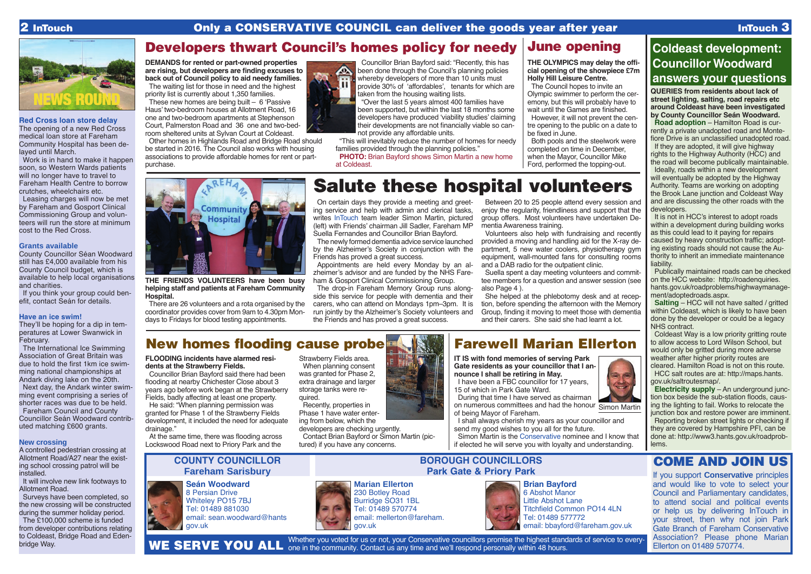## **Red Cross loan store delay**

The opening of a new Red Cross medical loan store at Fareham Community Hospital has been delayed until March.

Work is in hand to make it happen soon, so Western Wards patients will no longer have to travel to Fareham Health Centre to borrow crutches, wheelchairs etc.

If you think your group could benefit, contact Seán for details.

Leasing charges will now be met by Fareham and Gosport Clinical Commissioning Group and volunteers will run the store at minimum cost to the Red Cross.

### **Grants available**

County Councillor Séan Woodward still has £4,000 available from his County Council budget, which is available to help local organisations and charities.

It will involve new link footways to Allotment Road.

### **Have an ice swim!**

They'll be hoping for a dip in temperatures at Lower Swanwick in February.

The International Ice Swimming Association of Great Britain was due to hold the first 1km ice swimming national championships at Andark diving lake on the 20th.

Next day, the Andark winter swimming event comprising a series of shorter races was due to be held. Fareham Council and County

Councillor Seán Woodward contributed matching £600 grants.

### **New crossing**

A controlled pedestrian crossing at Allotment Road/A27 near the existing school crossing patrol will be installed.

Surveys have been completed, so the new crossing will be constructed during the summer holiday period.

The £100,000 scheme is funded from developer contributions relating to Coldeast, Bridge Road and Edenbridge Way.

# June opening

230 Botley Road Burridge SO31 1BL Tel: 01489 570774 email: mellerton@fareham. gov.uk



**Seán Woodward** 8 Persian Drive Whiteley PO15 7BJ Tel: 01489 881030 email: sean.woodward@hants gov.uk

# **COUNTY COUNCILLOR Fareham Sarisbury**

Whether you voted for us or not, your Conservative councillors promise the highest standards of service to every-WE SERVE YOU ALL one in the community. Contact us any time and we'll respond personally within 48 hours. **Marian Ellerton Brian Bayford** 6 Abshot Manor Titchfield Common PO14 4LN







# **BOROUGH COUNCILLORS Park Gate & Priory Park**





# COME AND JOIN US

If you support **Conservative** principles and would like to vote to select your Council and Parliamentary candidates, to attend social and political events or help us by delivering InTouch in your street, then why not join Park Gate Branch of Fareham Conservative Association? Please phone Marian Ellerton on 01489 570774. Little Abshot Lane Tel: 01489 577772 email: bbayford@fareham.gov.uk

Coldeast Way is a low priority gritting route to allow access to Lord Wilson School, but would only be gritted during more adverse weather after higher priority routes are cleared. Hamilton Road is not on this route. HCC salt routes are at: http://maps.hants. gov.uk/saltroutesmap/.

### **THE OLYMPICS may delay the official opening of the showpiece £7m Holly Hill Leisure Centre.**

The Council hopes to invite an Olympic swimmer to perform the ceremony, but this will probably have to wait until the Games are finished. However, it will not prevent the centre opening to the public on a date to

be fixed in June.

Both pools and the steelwork were completed on time in December, when the Mayor, Councillor Mike Ford, performed the topping-out.

**Gate residents as your councillor that I announce I shall be retiring in May.** 

I have been a FBC councillor for 17 years, 15 of which in Park Gate Ward.

During that time I have served as chairman on numerous committees and had the honour Simon Martinof being Mayor of Fareham.

# **IT IS with fond memories of serving Park**  Farewell Marian Ellerton

**PHOTO:** Brian Bayford shows Simon Martin a new home at Coldeast.

> I shall always cherish my years as your councillor and send my good wishes to you all for the future.

Simon Martin is the Conservative nominee and I know that if elected he will serve you with loyalty and understanding.



# **Coldeast development: Councillor Woodward answers your questions**

**QUERIES from residents about lack of street lighting, salting, road repairs etc around Coldeast have been investigated by County Councillor Seán Woodward. Road adoption** – Hamilton Road is cur-

rently a private unadopted road and Montefiore Drive is an unclassified unadopted road. If they are adopted, it will give highway rights to the Highway Authority (HCC) and the road will become publically maintainable. Ideally, roads within a new development will eventually be adopted by the Highway

Authority. Teams are working on adopting the Brook Lane junction and Coldeast Way and are discussing the other roads with the developers.

It is not in HCC's interest to adopt roads within a development during building works as this could lead to it paying for repairs caused by heavy construction traffic; adopting existing roads should not cause the Authority to inherit an immediate maintenance liability.

Publically maintained roads can be checked on the HCC website: http://roadenquiries. hants.gov.uk/roadproblems/highwaymanagement/adoptedroads.aspx.

**Salting** – HCC will not have salted / gritted within Coldeast, which is likely to have been done by the developer or could be a legacy NHS contract.

**Electricity supply** – An underground junction box beside the sub-station floods, causing the lighting to fail. Works to relocate the junction box and restore power are imminent. Reporting broken street lights or checking if they are covered by Hampshire PFI, can be done at: http://www3.hants.gov.uk/roadproblems.

# Developers thwart Council's homes policy for needy

**DEMANDS for rented or part-owned properties are rising, but developers are finding excuses to back out of Council policy to aid needy families.**  The waiting list for those in need and the highest These new homes are being built – 6 'Passive Haus' two-bedroom houses at Allotment Road, 16 one and two-bedroom apartments at Stephenson



priority list is currently about 1,350 families.

Court, Palmerston Road and 36 one and two-bedroom sheltered units at Sylvan Court at Coldeast.

REHA

**Community** Hospital

Other homes in Highlands Road and Bridge Road should be started in 2016. The Council also works with housing associations to provide affordable homes for rent or part-

purchase.

Councillor Brian Bayford said: "Recently, this has been done through the Council's planning policies whereby developers of more than 10 units must provide 30% of 'affordables', tenants for which are taken from the housing waiting lists.

"Over the last 5 years almost 400 families have been supported, but within the last 18 months some developers have produced 'viability studies' claiming their developments are not financially viable so cannot provide any affordable units.

"This will inevitably reduce the number of homes for needy families provided through the planning policies."

# Salute these hospital volunteers

**THE FRIENDS VOLUNTEERS have been busy helping staff and patients at Fareham Community** 

**Hospital.**

There are 26 volunteers and a rota organised by the coordinator provides cover from 9am to 4.30pm Mondays to Fridays for blood testing appointments.

On certain days they provide a meeting and greeting service and help with admin and clerical tasks, writes InTouch team leader Simon Martin, pictured (left) with Friends' chairman Jill Sadler, Fareham MP Suella Fernandes and Councillor Brian Bayford.

The newly formed dementia advice service launched by the Alzheimer's Society in conjunction with the Friends has proved a great success.

Appointments are held every Monday by an alzheimer's advisor and are funded by the NHS Fareham & Gosport Clinical Commissioning Group.

The drop-in Fareham Memory Group runs alongside this service for people with dementia and their carers, who can attend on Mondays 1pm–3pm. It is run jointly by the Alzheimer's Society volunteers and the Friends and has proved a great success.

Between 20 to 25 people attend every session and enjoy the regularity, friendliness and support that the group offers. Most volunteers have undertaken Dementia Awareness training.

Volunteers also help with fundraising and recently provided a moving and handling aid for the X-ray department, 5 new water coolers, physiotherapy gym equipment, wall-mounted fans for consulting rooms and a DAB radio for the outpatient clinic.

Suella spent a day meeting volunteers and committee members for a question and answer session (see also Page 4 ).

She helped at the phlebotomy desk and at reception, before spending the afternoon with the Memory Group, finding it moving to meet those with dementia and their carers. She said she had learnt a lot.

**FLOODING incidents have alarmed residents at the Strawberry Fields.**

Councillor Brian Bayford said there had been flooding at nearby Chichester Close about 3 years ago before work began at the Strawberry Fields, badly affecting at least one property.

He said: "When planning permission was granted for Phase 1 of the Strawberry Fields development, it included the need for adequate drainage."

At the same time, there was flooding across Lockswood Road next to Priory Park and the

Strawberry Fields area. When planning consent was granted for Phase 2, extra drainage and larger storage tanks were required.

Recently, properties in Phase 1 have water entering from below, which the developers are checking urgently.

Contact Brian Bayford or Simon Martin (pictured) if you have any concerns.

# New homes flooding cause probe